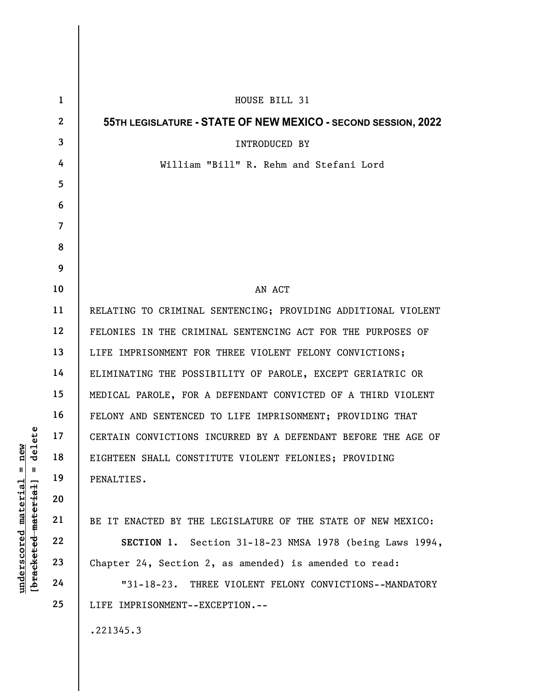|                                                         | $\mathbf{1}$    | HOUSE BILL 31                                                   |
|---------------------------------------------------------|-----------------|-----------------------------------------------------------------|
|                                                         | $\mathbf{2}$    | 55TH LEGISLATURE - STATE OF NEW MEXICO - SECOND SESSION, 2022   |
|                                                         | $\mathbf{3}$    | INTRODUCED BY                                                   |
|                                                         | 4               | William "Bill" R. Rehm and Stefani Lord                         |
|                                                         | $5\overline{)}$ |                                                                 |
|                                                         | 6               |                                                                 |
|                                                         | $\overline{7}$  |                                                                 |
|                                                         | 8               |                                                                 |
|                                                         | 9               |                                                                 |
|                                                         | 10              | AN ACT                                                          |
|                                                         | 11              | RELATING TO CRIMINAL SENTENCING; PROVIDING ADDITIONAL VIOLENT   |
|                                                         | 12              | FELONIES IN THE CRIMINAL SENTENCING ACT FOR THE PURPOSES OF     |
|                                                         | 13              | LIFE IMPRISONMENT FOR THREE VIOLENT FELONY CONVICTIONS;         |
|                                                         | 14              | ELIMINATING THE POSSIBILITY OF PAROLE, EXCEPT GERIATRIC OR      |
|                                                         | 15              | MEDICAL PAROLE, FOR A DEFENDANT CONVICTED OF A THIRD VIOLENT    |
|                                                         | 16              | FELONY AND SENTENCED TO LIFE IMPRISONMENT; PROVIDING THAT       |
|                                                         | 17              | CERTAIN CONVICTIONS INCURRED BY A DEFENDANT BEFORE THE AGE OF   |
| i new<br>delete                                         | 18              | EIGHTEEN SHALL CONSTITUTE VIOLENT FELONIES; PROVIDING           |
| $\mathsf{I}$<br>Ш                                       | 19              | PENALTIES.                                                      |
| <u>material</u>                                         | 20              |                                                                 |
|                                                         | 21              | BE IT ENACTED BY THE LEGISLATURE OF THE STATE OF NEW MEXICO:    |
|                                                         | 22              | SECTION 1. Section 31-18-23 NMSA 1978 (being Laws 1994,         |
|                                                         | 23              | Chapter 24, Section 2, as amended) is amended to read:          |
| [ <del>bracketed material</del> ]<br><u>underscored</u> | 24              | $"31 - 18 - 23.$<br>THREE VIOLENT FELONY CONVICTIONS--MANDATORY |
|                                                         | 25              | LIFE IMPRISONMENT--EXCEPTION.--                                 |
|                                                         |                 | .221345.3                                                       |
|                                                         |                 |                                                                 |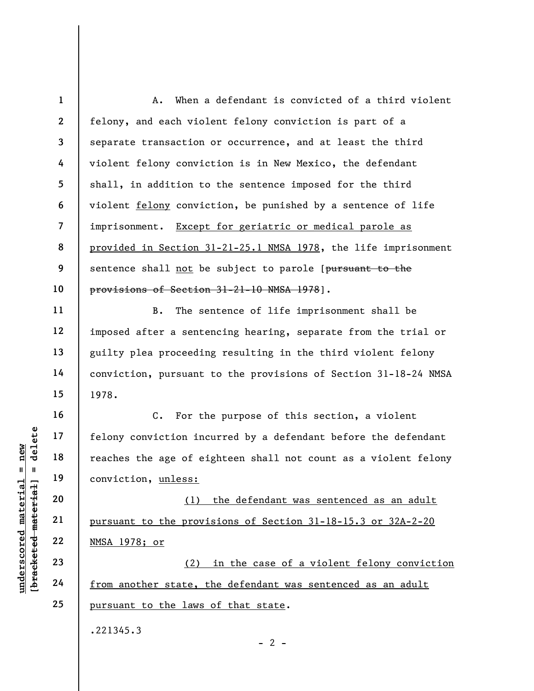1 2 3 4 5 6 7 8 9 10 A. When a defendant is convicted of a third violent felony, and each violent felony conviction is part of a separate transaction or occurrence, and at least the third violent felony conviction is in New Mexico, the defendant shall, in addition to the sentence imposed for the third violent felony conviction, be punished by a sentence of life imprisonment. Except for geriatric or medical parole as provided in Section 31-21-25.1 NMSA 1978, the life imprisonment sentence shall not be subject to parole [pursuant to the provisions of Section 31-21-10 NMSA 1978].

B. The sentence of life imprisonment shall be imposed after a sentencing hearing, separate from the trial or guilty plea proceeding resulting in the third violent felony conviction, pursuant to the provisions of Section 31-18-24 NMSA 1978.

underscored material = new [bracketed material] = delete C. For the purpose of this section, a violent felony conviction incurred by a defendant before the defendant reaches the age of eighteen shall not count as a violent felony conviction, unless:

(1) the defendant was sentenced as an adult pursuant to the provisions of Section 31-18-15.3 or 32A-2-20 NMSA 1978; or

(2) in the case of a violent felony conviction from another state, the defendant was sentenced as an adult pursuant to the laws of that state.

 $- 2 -$ 

.221345.3

11

12

13

14

15

16

17

18

19

20

21

22

23

24

25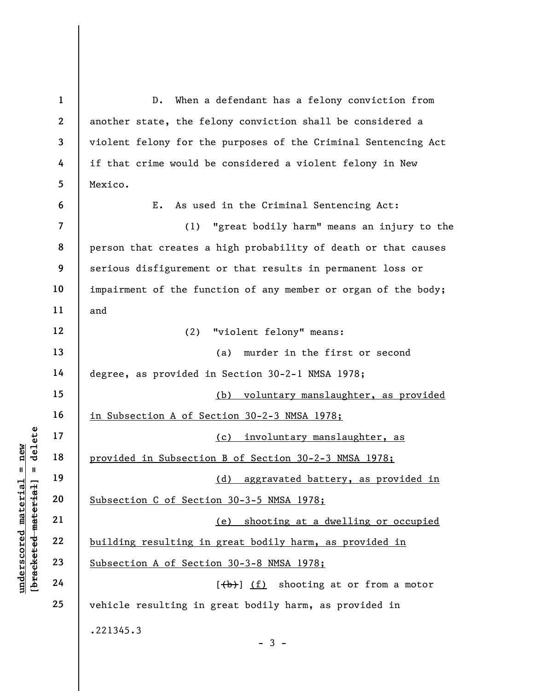UNDER THE MATH OF THE MATH OF THE MATH OF THE MATH OF THE MATH OF SECTS<br>UNDER THE MATH OF SUBSECTION C OF SECTS<br>UNDER 22 23 23 3 3 5 Subsection A of Section<br>24 24 24 5 3 3 5 Subsection A of Section<br>1.1 4 3 3 5 Subsection A 1 2 3 4 5 6 7 8 9 10 11 12 13 14 15 16 17 18 19 20 21 22 23 24 25 D. When a defendant has a felony conviction from another state, the felony conviction shall be considered a violent felony for the purposes of the Criminal Sentencing Act if that crime would be considered a violent felony in New Mexico. E. As used in the Criminal Sentencing Act: (1) "great bodily harm" means an injury to the person that creates a high probability of death or that causes serious disfigurement or that results in permanent loss or impairment of the function of any member or organ of the body; and (2) "violent felony" means: (a) murder in the first or second degree, as provided in Section 30-2-1 NMSA 1978; (b) voluntary manslaughter, as provided in Subsection A of Section 30-2-3 NMSA 1978; (c) involuntary manslaughter, as provided in Subsection B of Section 30-2-3 NMSA 1978; (d) aggravated battery, as provided in Subsection C of Section 30-3-5 NMSA 1978; (e) shooting at a dwelling or occupied building resulting in great bodily harm, as provided in Subsection A of Section 30-3-8 NMSA 1978;  $[\frac{b}{b}]$  (f) shooting at or from a motor vehicle resulting in great bodily harm, as provided in .221345.3  $-3 -$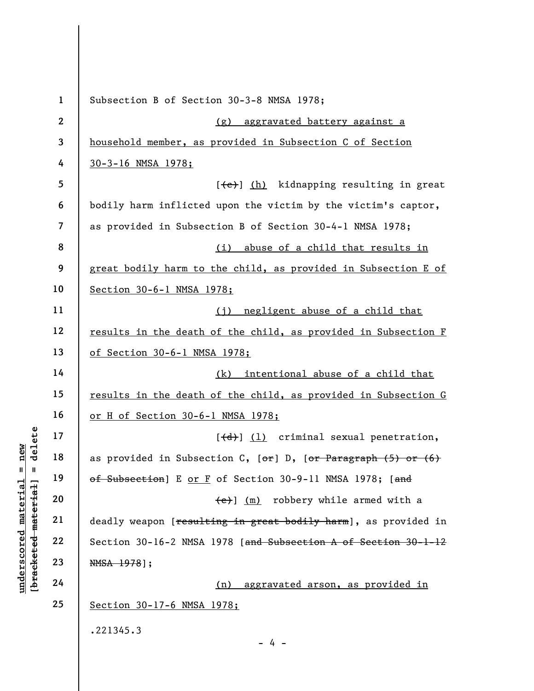|                                                           | $\mathbf{1}$            | Subsection B of Section 30-3-8 NMSA 1978;                                      |
|-----------------------------------------------------------|-------------------------|--------------------------------------------------------------------------------|
|                                                           | $\mathbf{2}$            | aggravated battery against a<br>(g)                                            |
|                                                           | 3                       | household member, as provided in Subsection C of Section                       |
|                                                           | 4                       | 30-3-16 NMSA 1978;                                                             |
|                                                           | 5                       | [(e)] (h) kidnapping resulting in great                                        |
|                                                           | 6                       | bodily harm inflicted upon the victim by the victim's captor,                  |
|                                                           | $\overline{\mathbf{z}}$ | as provided in Subsection B of Section 30-4-1 NMSA 1978;                       |
|                                                           | 8                       | abuse of a child that results in<br>(i)                                        |
|                                                           | 9                       | great bodily harm to the child, as provided in Subsection E of                 |
|                                                           | 10                      | Section 30-6-1 NMSA 1978;                                                      |
|                                                           | 11                      | negligent abuse of a child that<br>(i)                                         |
|                                                           | 12                      | results in the death of the child, as provided in Subsection F                 |
|                                                           | 13                      | of Section 30-6-1 NMSA 1978;                                                   |
|                                                           | 14                      | intentional abuse of a child that<br>(k)                                       |
|                                                           | 15                      | results in the death of the child, as provided in Subsection G                 |
|                                                           | 16                      | <u>or H of Section 30-6-1 NMSA 1978;</u>                                       |
| delete                                                    | 17                      | $[\frac{d}{d}]$ $(1)$ criminal sexual penetration,                             |
| $n$ ew                                                    | 18                      | as provided in Subsection C, $[\theta^*]$ D, $[\theta^*]$ Paragraph (5) or (6) |
| 11<br>$\mathbf{u}$                                        | 19                      | of Subsection] E or F of Section 30-9-11 NMSA 1978; [and                       |
|                                                           | 20                      | robbery while armed with a<br>$(e)$ ] $(m)$                                    |
|                                                           | 21                      | deadly weapon [ <del>resulting in great bodily harm</del> ], as provided in    |
|                                                           | 22                      | Section 30-16-2 NMSA 1978 [and Subsection A of Section 30-1-12                 |
| underscored material<br>[ <del>bracketed material</del> ] | 23                      | NMSA 1978];                                                                    |
|                                                           | 24                      | aggravated arson, as provided in<br>(n)                                        |
|                                                           | 25                      | Section 30-17-6 NMSA 1978;                                                     |
|                                                           |                         | .221345.3                                                                      |
|                                                           |                         | 4-                                                                             |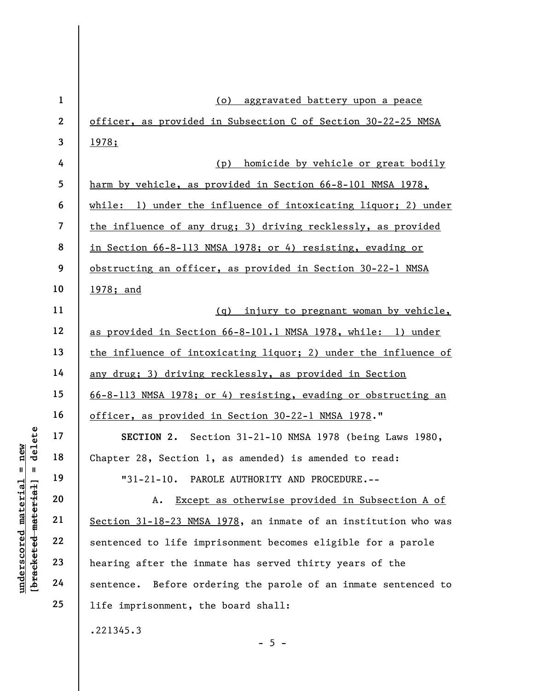|                                                                      | $\mathbf{1}$   | (o) aggravated battery upon a peace                               |
|----------------------------------------------------------------------|----------------|-------------------------------------------------------------------|
|                                                                      | $\mathbf{2}$   | officer, as provided in Subsection C of Section 30-22-25 NMSA     |
|                                                                      | 3              | 1978;                                                             |
|                                                                      | 4              | (p) homicide by vehicle or great bodily                           |
|                                                                      | 5              | harm by vehicle, as provided in Section 66-8-101 NMSA 1978,       |
|                                                                      | 6              | while: 1) under the influence of intoxicating liquor; 2) under    |
|                                                                      | $\overline{7}$ | the influence of any drug; 3) driving recklessly, as provided     |
|                                                                      | 8              | in Section 66-8-113 NMSA 1978; or 4) resisting, evading or        |
|                                                                      | 9              | obstructing an officer, as provided in Section 30-22-1 NMSA       |
|                                                                      | 10             | 1978; and                                                         |
|                                                                      | 11             | (q) injury to pregnant woman by vehicle,                          |
|                                                                      | 12             | as provided in Section 66-8-101.1 NMSA 1978, while: 1) under      |
|                                                                      | 13             | the influence of intoxicating liquor; 2) under the influence of   |
|                                                                      | 14             | any drug; 3) driving recklessly, as provided in Section           |
|                                                                      | 15             | 66-8-113 NMSA 1978; or 4) resisting, evading or obstructing an    |
|                                                                      | 16             | officer, as provided in Section 30-22-1 NMSA 1978."               |
| delete                                                               | 17             | SECTION 2. Section 31-21-10 NMSA 1978 (being Laws 1980,           |
| nev                                                                  | 18             | Chapter 28, Section 1, as amended) is amended to read:            |
| Ш<br>Ш                                                               | 19             | $"31-21-10.$<br>PAROLE AUTHORITY AND PROCEDURE.--                 |
|                                                                      | 20             | Except as otherwise provided in Subsection A of<br>Α.             |
| underscored material<br>[ <del>brack</del> ete <del>d material</del> | 21             | Section 31-18-23 NMSA 1978, an inmate of an institution who was   |
|                                                                      | 22             | sentenced to life imprisonment becomes eligible for a parole      |
|                                                                      | 23             | hearing after the inmate has served thirty years of the           |
|                                                                      | 24             | Before ordering the parole of an inmate sentenced to<br>sentence. |
|                                                                      | 25             | life imprisonment, the board shall:                               |
|                                                                      |                | .221345.3                                                         |

 $- 5 -$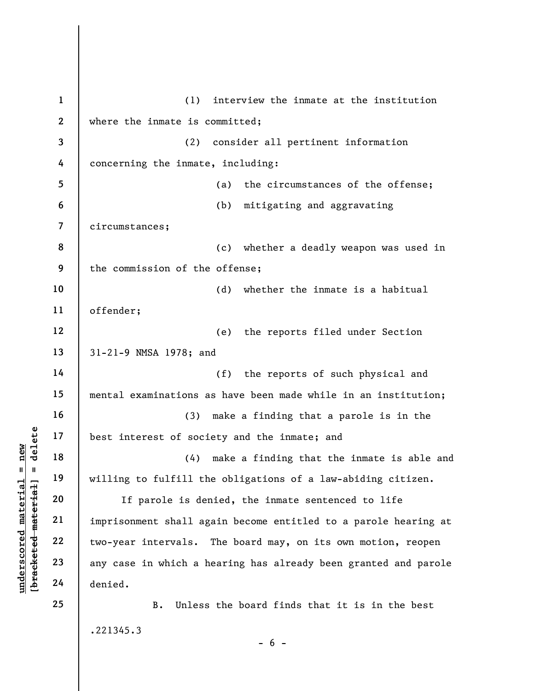under 17<br>
under 18<br>
19<br>
under 19<br>
under 19<br>
under 19<br>
under 19<br>
under 19<br>
under 19<br>
20<br>
imprisonment shall ag<br>
two-year intervals.<br>
23<br>
under 24<br>
denied. 1 2 3 4 5 6 7 8 9 10 11 12 13 14 15 16 17 18 19 20 21 22 23 24 25 (1) interview the inmate at the institution where the inmate is committed; (2) consider all pertinent information concerning the inmate, including: (a) the circumstances of the offense; (b) mitigating and aggravating circumstances; (c) whether a deadly weapon was used in the commission of the offense; (d) whether the inmate is a habitual offender; (e) the reports filed under Section 31-21-9 NMSA 1978; and (f) the reports of such physical and mental examinations as have been made while in an institution; (3) make a finding that a parole is in the best interest of society and the inmate; and (4) make a finding that the inmate is able and willing to fulfill the obligations of a law-abiding citizen. If parole is denied, the inmate sentenced to life imprisonment shall again become entitled to a parole hearing at two-year intervals. The board may, on its own motion, reopen any case in which a hearing has already been granted and parole denied. B. Unless the board finds that it is in the best .221345.3

 $- 6 -$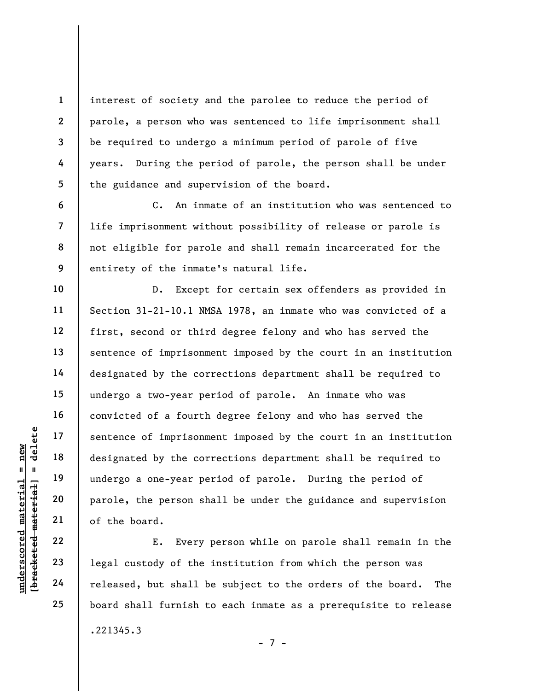interest of society and the parolee to reduce the period of parole, a person who was sentenced to life imprisonment shall be required to undergo a minimum period of parole of five years. During the period of parole, the person shall be under the guidance and supervision of the board.

C. An inmate of an institution who was sentenced to life imprisonment without possibility of release or parole is not eligible for parole and shall remain incarcerated for the entirety of the inmate's natural life.

under a content of imprisonm<br>
and the designated by the correlation of the same parallel<br>
where the person short of the board.<br>
22<br>
23<br>
24<br>
24<br>
22<br>
24<br>
22<br>
24<br>
22<br>
24<br>
22<br>
24<br>
22<br>
24<br>
22<br>
24<br>
22<br>
24<br>
22<br>
24<br>
22<br>
24<br>
22<br>
24 D. Except for certain sex offenders as provided in Section 31-21-10.1 NMSA 1978, an inmate who was convicted of a first, second or third degree felony and who has served the sentence of imprisonment imposed by the court in an institution designated by the corrections department shall be required to undergo a two-year period of parole. An inmate who was convicted of a fourth degree felony and who has served the sentence of imprisonment imposed by the court in an institution designated by the corrections department shall be required to undergo a one-year period of parole. During the period of parole, the person shall be under the guidance and supervision of the board.

E. Every person while on parole shall remain in the legal custody of the institution from which the person was released, but shall be subject to the orders of the board. The board shall furnish to each inmate as a prerequisite to release .221345.3 - 7 -

1

2

3

4

5

6

7

8

9

10

11

12

13

14

15

16

17

18

19

20

21

22

23

24

25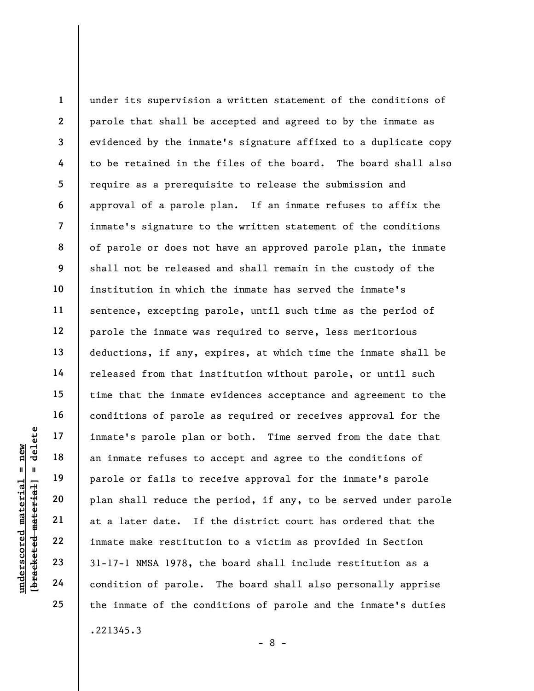underscored material = new [bracketed material] = delete 1 2 3 4 5 6 7 8 9 10 11 12 13 14 15 16 17 18 19 20 21 22 23 24 25 under its supervision a written statement of the conditions of parole that shall be accepted and agreed to by the inmate as evidenced by the inmate's signature affixed to a duplicate copy to be retained in the files of the board. The board shall also require as a prerequisite to release the submission and approval of a parole plan. If an inmate refuses to affix the inmate's signature to the written statement of the conditions of parole or does not have an approved parole plan, the inmate shall not be released and shall remain in the custody of the institution in which the inmate has served the inmate's sentence, excepting parole, until such time as the period of parole the inmate was required to serve, less meritorious deductions, if any, expires, at which time the inmate shall be released from that institution without parole, or until such time that the inmate evidences acceptance and agreement to the conditions of parole as required or receives approval for the inmate's parole plan or both. Time served from the date that an inmate refuses to accept and agree to the conditions of parole or fails to receive approval for the inmate's parole plan shall reduce the period, if any, to be served under parole at a later date. If the district court has ordered that the inmate make restitution to a victim as provided in Section 31-17-1 NMSA 1978, the board shall include restitution as a condition of parole. The board shall also personally apprise the inmate of the conditions of parole and the inmate's duties .221345.3

- 8 -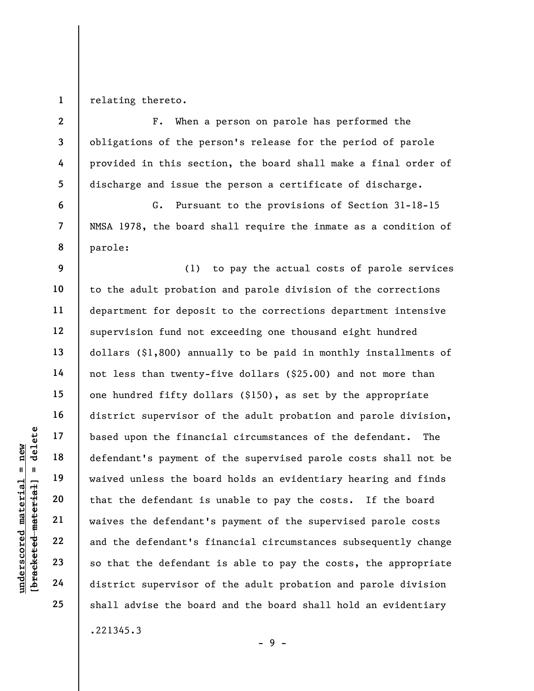1 relating thereto.

6

7

8

9

10

11

12

13

14

15

16

17

18

19

20

21

22

23

24

25

2 3 4 5 F. When a person on parole has performed the obligations of the person's release for the period of parole provided in this section, the board shall make a final order of discharge and issue the person a certificate of discharge.

G. Pursuant to the provisions of Section 31-18-15 NMSA 1978, the board shall require the inmate as a condition of parole:

understand material and the defendant of that the defendant of that the defendant is waived unless the boat that the defendant is waives the defendant is waives the defendant is waives the defendant of that the defendant i (1) to pay the actual costs of parole services to the adult probation and parole division of the corrections department for deposit to the corrections department intensive supervision fund not exceeding one thousand eight hundred dollars (\$1,800) annually to be paid in monthly installments of not less than twenty-five dollars (\$25.00) and not more than one hundred fifty dollars (\$150), as set by the appropriate district supervisor of the adult probation and parole division, based upon the financial circumstances of the defendant. The defendant's payment of the supervised parole costs shall not be waived unless the board holds an evidentiary hearing and finds that the defendant is unable to pay the costs. If the board waives the defendant's payment of the supervised parole costs and the defendant's financial circumstances subsequently change so that the defendant is able to pay the costs, the appropriate district supervisor of the adult probation and parole division shall advise the board and the board shall hold an evidentiary

.221345.3

 $-9 -$